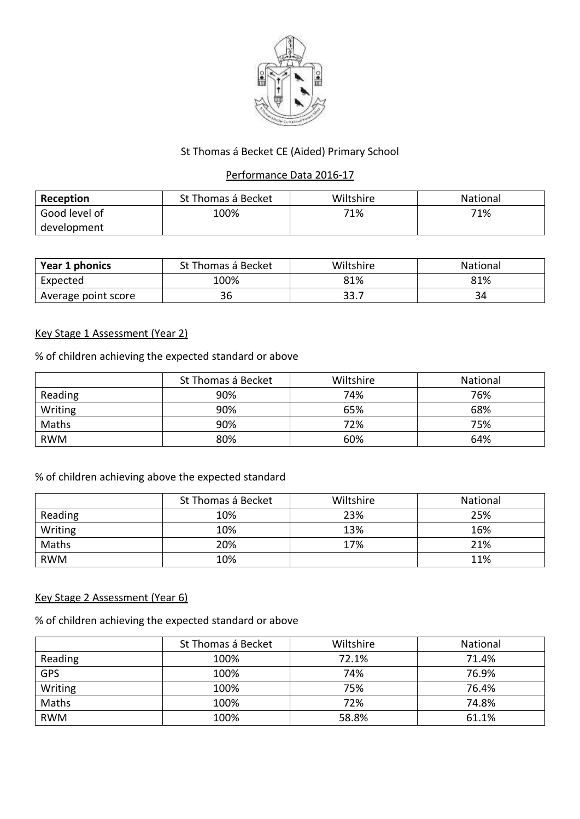

# St Thomas á Becket CE (Aided) Primary School

### Performance Data 2016-17

| Reception     | St Thomas á Becket | Wiltshire | <b>National</b> |
|---------------|--------------------|-----------|-----------------|
| Good level of | 100%               | 71%       | 71%             |
| development   |                    |           |                 |

| Year 1 phonics      | St Thomas á Becket | Wiltshire | National |
|---------------------|--------------------|-----------|----------|
| Expected            | 100%               | 81%       | 81%      |
| Average point score | 36                 | 33.7      | 34       |

### Key Stage 1 Assessment (Year 2)

% of children achieving the expected standard or above

|            | St Thomas á Becket | Wiltshire | National |
|------------|--------------------|-----------|----------|
| Reading    | 90%                | 74%       | 76%      |
| Writing    | 90%                | 65%       | 68%      |
| Maths      | 90%                | 72%       | 75%      |
| <b>RWM</b> | 80%                | 60%       | 64%      |

# % of children achieving above the expected standard

|            | St Thomas á Becket | Wiltshire | National |
|------------|--------------------|-----------|----------|
| Reading    | 10%                | 23%       | 25%      |
| Writing    | 10%                | 13%       | 16%      |
| Maths      | 20%                | 17%       | 21%      |
| <b>RWM</b> | 10%                |           | 11%      |

# Key Stage 2 Assessment (Year 6)

% of children achieving the expected standard or above

|            | St Thomas á Becket | Wiltshire | National |
|------------|--------------------|-----------|----------|
| Reading    | 100%               | 72.1%     | 71.4%    |
| <b>GPS</b> | 100%               | 74%       | 76.9%    |
| Writing    | 100%               | 75%       | 76.4%    |
| Maths      | 100%               | 72%       | 74.8%    |
| <b>RWM</b> | 100%               | 58.8%     | 61.1%    |